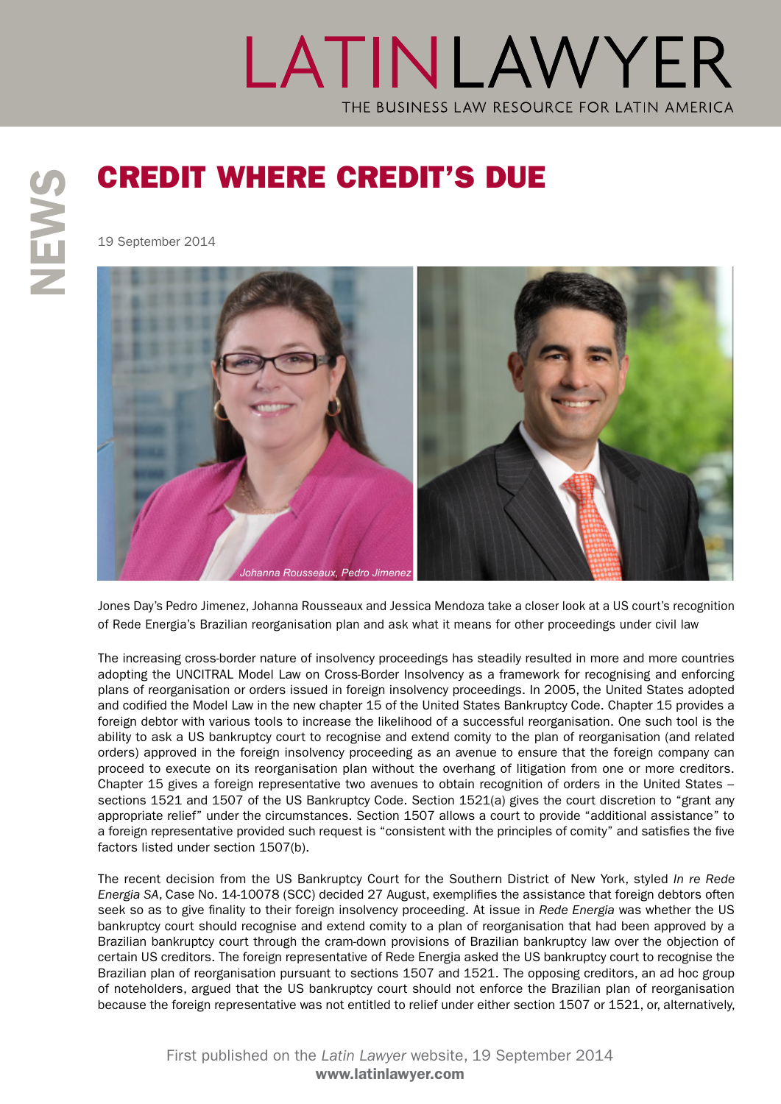## LATINLAWYER THE BUSINESS LAW RESOURCE FOR LATIN AMERICA

19 September 2014



Jones Day's Pedro Jimenez, Johanna Rousseaux and Jessica Mendoza take a closer look at a US court's recognition of Rede Energia's Brazilian reorganisation plan and ask what it means for other proceedings under civil law

The increasing cross-border nature of insolvency proceedings has steadily resulted in more and more countries adopting the UNCITRAL Model Law on Cross-Border Insolvency as a framework for recognising and enforcing plans of reorganisation or orders issued in foreign insolvency proceedings. In 2005, the United States adopted and codified the Model Law in the new chapter 15 of the United States Bankruptcy Code. Chapter 15 provides a foreign debtor with various tools to increase the likelihood of a successful reorganisation. One such tool is the ability to ask a US bankruptcy court to recognise and extend comity to the plan of reorganisation (and related orders) approved in the foreign insolvency proceeding as an avenue to ensure that the foreign company can proceed to execute on its reorganisation plan without the overhang of litigation from one or more creditors. Chapter 15 gives a foreign representative two avenues to obtain recognition of orders in the United States – sections 1521 and 1507 of the US Bankruptcy Code. Section 1521(a) gives the court discretion to "grant any appropriate relief" under the circumstances. Section 1507 allows a court to provide "additional assistance" to a foreign representative provided such request is "consistent with the principles of comity" and satisfies the five factors listed under section 1507(b).

The recent decision from the US Bankruptcy Court for the Southern District of New York, styled *In re Rede Energia SA*, Case No. 14-10078 (SCC) decided 27 August, exemplifies the assistance that foreign debtors often seek so as to give finality to their foreign insolvency proceeding. At issue in *Rede Energia* was whether the US bankruptcy court should recognise and extend comity to a plan of reorganisation that had been approved by a Brazilian bankruptcy court through the cram-down provisions of Brazilian bankruptcy law over the objection of certain US creditors. The foreign representative of Rede Energia asked the US bankruptcy court to recognise the Brazilian plan of reorganisation pursuant to sections 1507 and 1521. The opposing creditors, an ad hoc group of noteholders, argued that the US bankruptcy court should not enforce the Brazilian plan of reorganisation because the foreign representative was not entitled to relief under either section 1507 or 1521, or, alternatively,